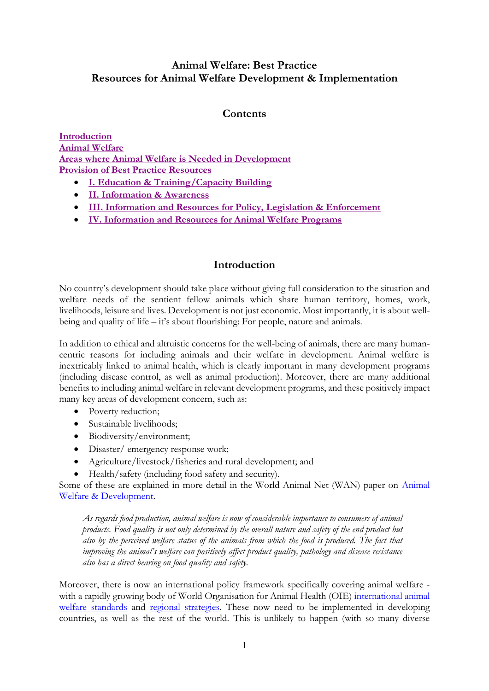# **Animal Welfare: Best Practice Resources for Animal Welfare Development & Implementation**

# **Contents**

**[Introduction](#page-0-0) [Animal Welfare](#page-2-0) [Areas where Animal Welfare is Needed](#page-4-0) in Development [Provision of Best Practice Resources](#page-7-0)**

- **[I. Education & Training/Capacity Building](#page-8-0)**
- **[II. Information & Awareness](#page-13-0)**
- **[III. Information and Resources for Policy, Legislation & Enforcement](#page-15-0)**
- **[IV. Information and Resources for Animal Welfare Programs](#page-18-0)**

# **Introduction**

<span id="page-0-0"></span>No country's development should take place without giving full consideration to the situation and welfare needs of the sentient fellow animals which share human territory, homes, work, livelihoods, leisure and lives. Development is not just economic. Most importantly, it is about wellbeing and quality of life – it's about flourishing: For people, nature and animals.

In addition to ethical and altruistic concerns for the well-being of animals, there are many humancentric reasons for including animals and their welfare in development. Animal welfare is inextricably linked to animal health, which is clearly important in many development programs (including disease control, as well as animal production). Moreover, there are many additional benefits to including animal welfare in relevant development programs, and these positively impact many key areas of development concern, such as:

- Poverty reduction;
- Sustainable livelihoods;
- Biodiversity/environment;
- Disaster/ emergency response work;
- Agriculture/livestock/fisheries and rural development; and
- Health/safety (including food safety and security).

Some of these are explained in more detail in the World Animal Net (WAN) paper on [Animal](http://worldanimal.net/images/stories/documents/AW_and_Development_WAN_Update_5-22-15.pdf)  [Welfare & Development.](http://worldanimal.net/images/stories/documents/AW_and_Development_WAN_Update_5-22-15.pdf)

*As regards food production, animal welfare is now of considerable importance to consumers of animal products. Food quality is not only determined by the overall nature and safety of the end product but also by the perceived welfare status of the animals from which the food is produced. The fact that improving the animal's welfare can positively affect product quality, pathology and disease resistance also has a direct bearing on food quality and safety.*

Moreover, there is now an international policy framework specifically covering animal welfare with a rapidly growing body of World Organisation for Animal Health (OIE) international animal [welfare standards](http://www.oie.int/animal-welfare/oie-standards-and-international-trade/) and [regional strategies.](http://www.oie.int/animal-welfare/implementation-of-the-standards-by-oie-member-countries/) These now need to be implemented in developing countries, as well as the rest of the world. This is unlikely to happen (with so many diverse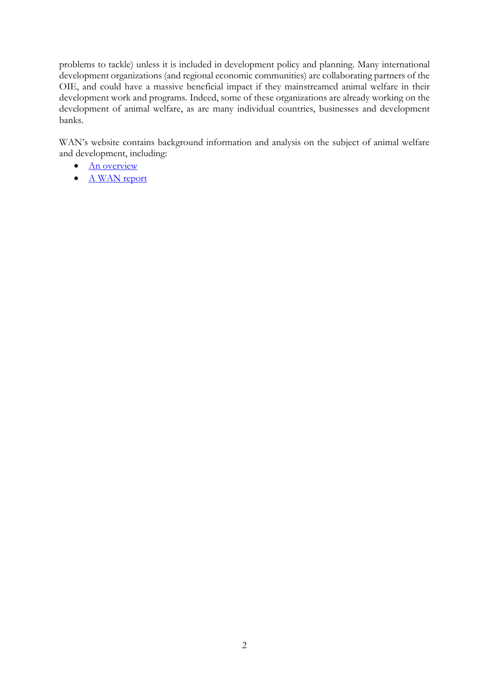problems to tackle) unless it is included in development policy and planning. Many international development organizations (and regional economic communities) are collaborating partners of the OIE, and could have a massive beneficial impact if they mainstreamed animal welfare in their development work and programs. Indeed, some of these organizations are already working on the development of animal welfare, as are many individual countries, businesses and development banks.

WAN's website contains background information and analysis on the subject of animal welfare and development, including:

- [An overview](http://worldanimal.net/our-programs/international-policy/animal-welfare-and-development)
- [A WAN report](http://worldanimal.net/images/stories/documents/AW_and_Development_Roles_and_Responsibilities.pdf)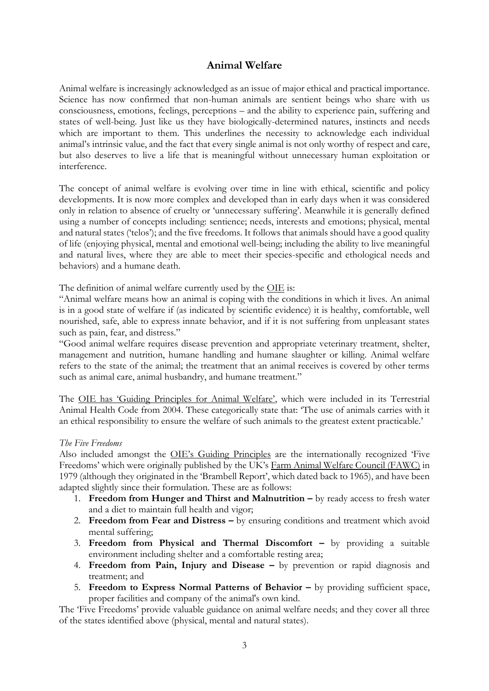# **Animal Welfare**

<span id="page-2-0"></span>Animal welfare is increasingly acknowledged as an issue of major ethical and practical importance. Science has now confirmed that non-human animals are sentient beings who share with us consciousness, emotions, feelings, perceptions – and the ability to experience pain, suffering and states of well-being. Just like us they have biologically-determined natures, instincts and needs which are important to them. This underlines the necessity to acknowledge each individual animal's intrinsic value, and the fact that every single animal is not only worthy of respect and care, but also deserves to live a life that is meaningful without unnecessary human exploitation or interference.

The concept of animal welfare is evolving over time in line with ethical, scientific and policy developments. It is now more complex and developed than in early days when it was considered only in relation to absence of cruelty or 'unnecessary suffering'. Meanwhile it is generally defined using a number of concepts including: sentience; needs, interests and emotions; physical, mental and natural states ('telos'); and the five freedoms. It follows that animals should have a good quality of life (enjoying physical, mental and emotional well-being; including the ability to live meaningful and natural lives, where they are able to meet their species-specific and ethological needs and behaviors) and a humane death.

The definition of animal welfare currently used by the [OIE](http://www.oie.int/) is:

"Animal welfare means how an animal is coping with the conditions in which it lives. An animal is in a good state of welfare if (as indicated by scientific evidence) it is healthy, comfortable, well nourished, safe, able to express innate behavior, and if it is not suffering from unpleasant states such as pain, fear, and distress."

"Good animal welfare requires disease prevention and appropriate veterinary treatment, shelter, management and nutrition, humane handling and humane slaughter or killing. Animal welfare refers to the state of the animal; the treatment that an animal receives is covered by other terms such as animal care, animal husbandry, and humane treatment."

The [OIE has 'Guiding Principles for Animal Welfare'](http://www.oie.int/index.php?id=169&L=0&htmfile=chapitre_aw_introduction.htm), which were included in its Terrestrial Animal Health Code from 2004. These categorically state that: 'The use of animals carries with it an ethical responsibility to ensure the welfare of such animals to the greatest extent practicable.'

#### *The Five Freedoms*

Also included amongst the [OIE's Guiding Principles](http://www.oie.int/index.php?id=169&L=0&htmfile=chapitre_aw_introduction.htm) are the internationally recognized 'Five Freedoms' which were originally published by the UK's [Farm Animal Welfare Council \(FAWC\)](https://www.gov.uk/government/groups/farm-animal-welfare-committee-fawc) in 1979 (although they originated in the 'Brambell Report', which dated back to 1965), and have been adapted slightly since their formulation. These are as follows:

- 1. **Freedom from Hunger and Thirst and Malnutrition –** by ready access to fresh water and a diet to maintain full health and vigor;
- 2. **Freedom from Fear and Distress –** by ensuring conditions and treatment which avoid mental suffering;
- 3. **Freedom from Physical and Thermal Discomfort –** by providing a suitable environment including shelter and a comfortable resting area;
- 4. **Freedom from Pain, Injury and Disease –** by prevention or rapid diagnosis and treatment; and
- 5. **Freedom to Express Normal Patterns of Behavior –** by providing sufficient space, proper facilities and company of the animal's own kind.

The 'Five Freedoms' provide valuable guidance on animal welfare needs; and they cover all three of the states identified above (physical, mental and natural states).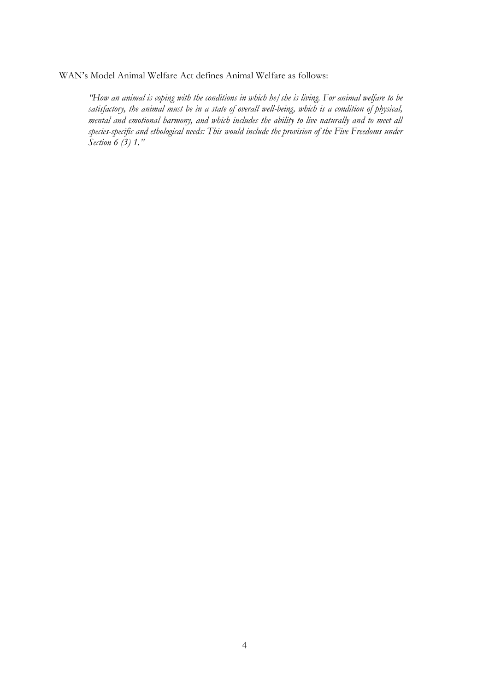WAN's Model Animal Welfare Act defines Animal Welfare as follows:

*"How an animal is coping with the conditions in which he/she is living. For animal welfare to be satisfactory, the animal must be in a state of overall well-being, which is a condition of physical, mental and emotional harmony, and which includes the ability to live naturally and to meet all species-specific and ethological needs: This would include the provision of the Five Freedoms under Section 6 (3) 1."*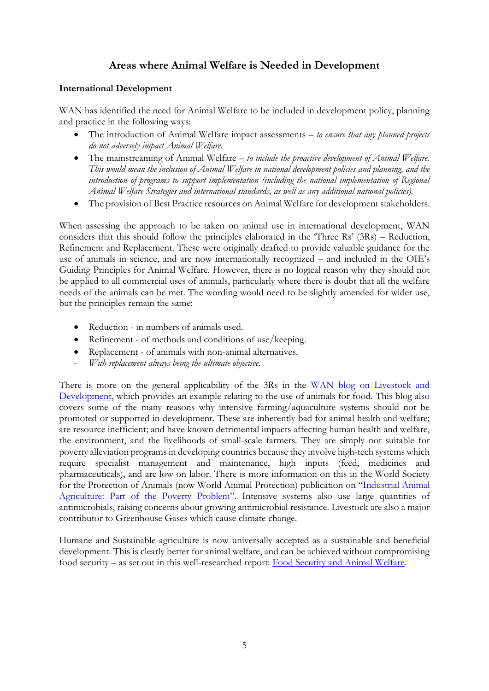# **Areas where Animal Welfare is Needed in Development**

# <span id="page-4-0"></span>**International Development**

WAN has identified the need for Animal Welfare to be included in development policy, planning and practice in the following ways:

- The introduction of Animal Welfare impact assessments *to ensure that any planned projects do not adversely impact Animal Welfare.*
- The mainstreaming of Animal Welfare *to include the proactive development of Animal Welfare. This would mean the inclusion of Animal Welfare in national development policies and planning, and the introduction of programs to support implementation (including the national implementation of Regional Animal Welfare Strategies and international standards, as well as any additional national policies).*
- The provision of Best Practice resources on Animal Welfare for development stakeholders.

When assessing the approach to be taken on animal use in international development, WAN considers that this should follow the principles elaborated in the 'Three Rs' (3Rs) – Reduction, Refinement and Replacement. These were originally drafted to provide valuable guidance for the use of animals in science, and are now internationally recognized – and included in the OIE's Guiding Principles for Animal Welfare. However, there is no logical reason why they should not be applied to all commercial uses of animals, particularly where there is doubt that all the welfare needs of the animals can be met. The wording would need to be slightly amended for wider use, but the principles remain the same:

- Reduction in numbers of animals used.
- Refinement of methods and conditions of use/keeping.
- Replacement of animals with non-animal alternatives.
- With replacement always being the ultimate objective.

There is more on the general applicability of the 3Rs in the WAN blog on Livestock and [Development,](http://worldanimal.net/world-animal-net-blog/item/356-livestock-and-development) which provides an example relating to the use of animals for food. This blog also covers some of the many reasons why intensive farming/aquaculture systems should not be promoted or supported in development. These are inherently bad for animal health and welfare; are resource inefficient; and have known detrimental impacts affecting human health and welfare, the environment, and the livelihoods of small-scale farmers. They are simply not suitable for poverty alleviation programs in developing countries because they involve high-tech systems which require specialist management and maintenance, high inputs (feed, medicines and pharmaceuticals), and are low on labor. There is more information on this in the World Society for the Protection of Animals (now World Animal Protection) publication on "[Industrial Animal](http://www.worldanimalprotection.ca/sites/default/files/ca_-_en_files/wspa_poverty_report_tcm22-3744.pdf)  [Agriculture: Part of the Poverty Problem](http://www.worldanimalprotection.ca/sites/default/files/ca_-_en_files/wspa_poverty_report_tcm22-3744.pdf)". Intensive systems also use large quantities of antimicrobials, raising concerns about growing antimicrobial resistance. Livestock are also a major contributor to Greenhouse Gases which cause climate change.

Humane and Sustainable agriculture is now universally accepted as a sustainable and beneficial development. This is clearly better for animal welfare, and can be achieved without compromising food security – as set out in this well-researched report: [Food Security and Animal Welfare.](https://www.ciwf.org.uk/media/3758836/Food-security-and-farm-animal-welfare-report.pdf)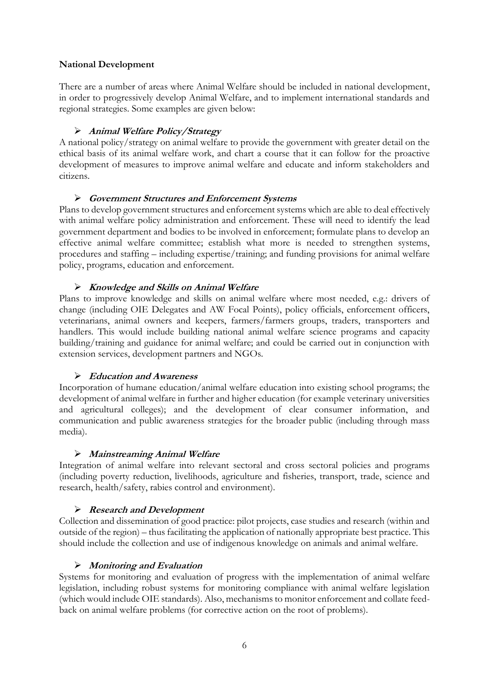### **National Development**

There are a number of areas where Animal Welfare should be included in national development, in order to progressively develop Animal Welfare, and to implement international standards and regional strategies. Some examples are given below:

# **Animal Welfare Policy/Strategy**

A national policy/strategy on animal welfare to provide the government with greater detail on the ethical basis of its animal welfare work, and chart a course that it can follow for the proactive development of measures to improve animal welfare and educate and inform stakeholders and citizens.

# **Government Structures and Enforcement Systems**

Plans to develop government structures and enforcement systems which are able to deal effectively with animal welfare policy administration and enforcement. These will need to identify the lead government department and bodies to be involved in enforcement; formulate plans to develop an effective animal welfare committee; establish what more is needed to strengthen systems, procedures and staffing – including expertise/training; and funding provisions for animal welfare policy, programs, education and enforcement.

# **Knowledge and Skills on Animal Welfare**

Plans to improve knowledge and skills on animal welfare where most needed, e.g.: drivers of change (including OIE Delegates and AW Focal Points), policy officials, enforcement officers, veterinarians, animal owners and keepers, farmers/farmers groups, traders, transporters and handlers. This would include building national animal welfare science programs and capacity building/training and guidance for animal welfare; and could be carried out in conjunction with extension services, development partners and NGOs.

### **Education and Awareness**

Incorporation of humane education/animal welfare education into existing school programs; the development of animal welfare in further and higher education (for example veterinary universities and agricultural colleges); and the development of clear consumer information, and communication and public awareness strategies for the broader public (including through mass media).

### **Mainstreaming Animal Welfare**

Integration of animal welfare into relevant sectoral and cross sectoral policies and programs (including poverty reduction, livelihoods, agriculture and fisheries, transport, trade, science and research, health/safety, rabies control and environment).

### **Research and Development**

Collection and dissemination of good practice: pilot projects, case studies and research (within and outside of the region) – thus facilitating the application of nationally appropriate best practice. This should include the collection and use of indigenous knowledge on animals and animal welfare.

### **Monitoring and Evaluation**

Systems for monitoring and evaluation of progress with the implementation of animal welfare legislation, including robust systems for monitoring compliance with animal welfare legislation (which would include OIE standards). Also, mechanisms to monitor enforcement and collate feedback on animal welfare problems (for corrective action on the root of problems).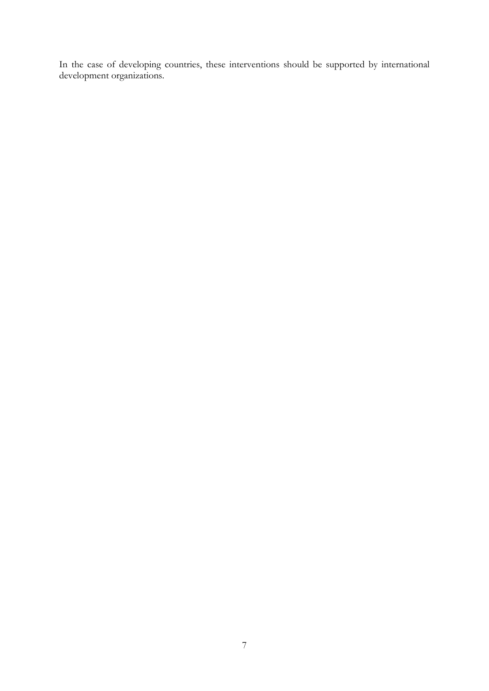In the case of developing countries, these interventions should be supported by international development organizations.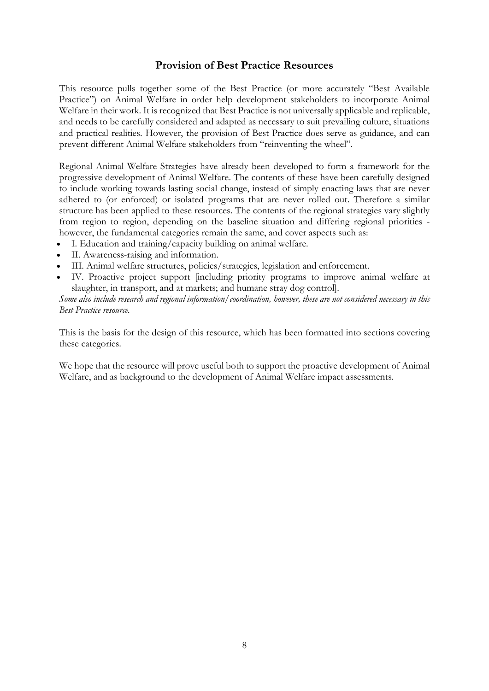# **Provision of Best Practice Resources**

<span id="page-7-0"></span>This resource pulls together some of the Best Practice (or more accurately "Best Available Practice") on Animal Welfare in order help development stakeholders to incorporate Animal Welfare in their work. It is recognized that Best Practice is not universally applicable and replicable, and needs to be carefully considered and adapted as necessary to suit prevailing culture, situations and practical realities. However, the provision of Best Practice does serve as guidance, and can prevent different Animal Welfare stakeholders from "reinventing the wheel".

Regional Animal Welfare Strategies have already been developed to form a framework for the progressive development of Animal Welfare. The contents of these have been carefully designed to include working towards lasting social change, instead of simply enacting laws that are never adhered to (or enforced) or isolated programs that are never rolled out. Therefore a similar structure has been applied to these resources. The contents of the regional strategies vary slightly from region to region, depending on the baseline situation and differing regional priorities however, the fundamental categories remain the same, and cover aspects such as:

- I. Education and training/capacity building on animal welfare.
- II. Awareness-raising and information.
- III. Animal welfare structures, policies/strategies, legislation and enforcement.
- IV. Proactive project support [including priority programs to improve animal welfare at slaughter, in transport, and at markets; and humane stray dog control].

*Some also include research and regional information/coordination, however, these are not considered necessary in this Best Practice resource.*

This is the basis for the design of this resource, which has been formatted into sections covering these categories.

We hope that the resource will prove useful both to support the proactive development of Animal Welfare, and as background to the development of Animal Welfare impact assessments.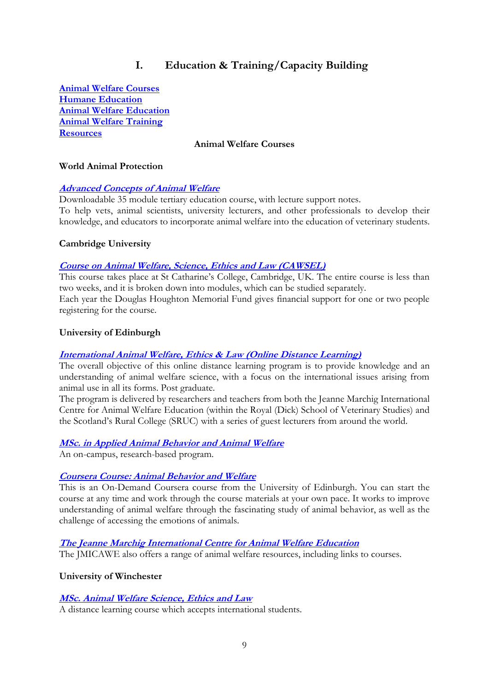# **I. Education & Training/Capacity Building**

<span id="page-8-0"></span>**[Animal Welfare Courses](#page-8-1) [Humane Education](#page-9-0) [Animal Welfare Education](#page-10-0) [Animal Welfare Training](#page-10-1) [Resources](#page-11-0)**

#### **Animal Welfare Courses**

#### <span id="page-8-1"></span>**World Animal Protection**

#### **[Advanced Concepts of Animal Welfare](http://www.worldanimalprotection.org/tertiary-education-0)**

Downloadable 35 module tertiary education course, with lecture support notes. To help vets, animal scientists, university lecturers, and other professionals to develop their knowledge, and educators to incorporate animal welfare into the education of veterinary students.

#### **Cambridge University**

#### **[Course on Animal Welfare, Science, Ethics and Law \(CAWSEL\)](http://cawsel.com/)**

This course takes place at St Catharine's College, Cambridge, UK. The entire course is less than two weeks, and it is broken down into modules, which can be studied separately.

Each year the Douglas Houghton Memorial Fund gives financial support for one or two people registering for the course.

#### **University of Edinburgh**

#### **[International Animal Welfare, Ethics & Law \(Online Distance Learning\)](http://www.ed.ac.uk/studying/postgraduate/degrees/index.php?r=site/view&id=788)**

The overall objective of this online distance learning program is to provide knowledge and an understanding of animal welfare science, with a focus on the international issues arising from animal use in all its forms. Post graduate.

The program is delivered by researchers and teachers from both the Jeanne Marchig International Centre for Animal Welfare Education (within the Royal (Dick) School of Veterinary Studies) and the Scotland's Rural College (SRUC) with a series of guest lecturers from around the world.

### **[MSc. in Applied Animal Behavior and Animal Welfare](http://www.ed.ac.uk/schools-departments/vet/studying/postgraduate/taught-programmes/applied-animal-behaviour-welfare/)**

An on-campus, research-based program.

#### **[Coursera Course: Animal Behavior](https://www.coursera.org/learn/animal-welfare/#syllabus) and Welfare**

This is an On-Demand Coursera course from the University of Edinburgh. You can start the course at any time and work through the course materials at your own pace. It works to improve understanding of animal welfare through the fascinating study of animal behavior, as well as the challenge of accessing the emotions of animals.

### **[The Jeanne Marchig International Centre for Animal Welfare Education](http://www.ed.ac.uk/schools-departments/vet/jeanne-marchig-centre/courses-seminars/resources)**

The JMICAWE also offers a range of animal welfare resources, including links to courses.

**University of Winchester**

#### **[MSc. Animal Welfare Science, Ethics and Law](http://www.winchester.ac.uk/Studyhere/Pages/msc-animal-welfare-science-ethics-and-law.aspx)**

A distance learning course which accepts international students.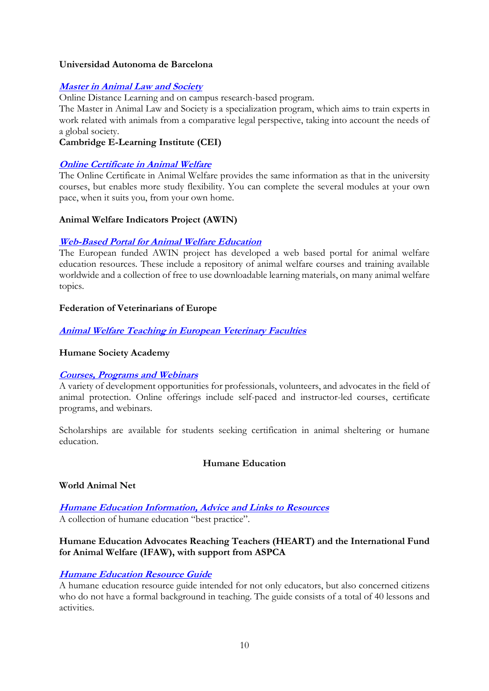### **Universidad Autonoma de Barcelona**

# **[Master in Animal Law and Society](http://www.uab.cat/web/postgrado/master-en-derecho-animal-y-sociedad-animal-law-and-society-/datos-basicos-1206597472083.html/param1-2826_es/param2-2012/)**

Online Distance Learning and on campus research-based program.

The Master in Animal Law and Society is a specialization program, which aims to train experts in work related with animals from a comparative legal perspective, taking into account the needs of a global society.

### **Cambridge E-Learning Institute (CEI)**

# **[Online Certificate in Animal Welfare](http://www.cambridge-elearning.com/animal_welfare.html)**

The Online Certificate in Animal Welfare provides the same information as that in the university courses, but enables more study flexibility. You can complete the several modules at your own pace, when it suits you, from your own home.

# **Animal Welfare Indicators Project (AWIN)**

# **[Web-Based Portal for Animal Welfare Education](http://www.animalwelfarehub.com/)**

The European funded AWIN project has developed a web based portal for animal welfare education resources. These include a repository of animal welfare courses and training available worldwide and a collection of free to use downloadable learning materials, on many animal welfare topics.

# **Federation of Veterinarians of Europe**

# **[Animal Welfare Teaching in European Veterinary Faculties](http://www.fve.org/education/docs_to_download/animal_welfare_poster.pdf)**

### **Humane Society Academy**

### **[Courses, Programs and Webinars](http://www.humanesociety.org/about/departments/humane-society-academy/)**

A variety of development opportunities for professionals, volunteers, and advocates in the field of animal protection. Online offerings include self-paced and instructor-led courses, certificate programs, and webinars.

Scholarships are available for students seeking certification in animal sheltering or humane education.

### **Humane Education**

### <span id="page-9-0"></span>**World Animal Net**

**[Humane Education Information, Advice and Links to Resources](http://worldanimal.net/our-programs/humane-education)** A collection of humane education "best practice".

# **Humane Education Advocates Reaching Teachers (HEART) and the International Fund for Animal Welfare (IFAW), with support from ASPCA**

# **[Humane Education Resource Guide](http://teachhumane.org/wp-content/uploads/2015/04/Humane-Resource-Guide.pdf)**

A humane education resource guide intended for not only educators, but also concerned citizens who do not have a formal background in teaching. The guide consists of a total of 40 lessons and activities.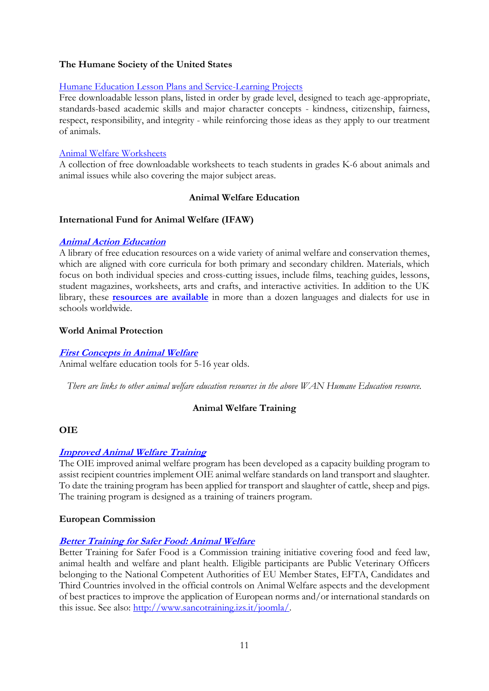# **The Humane Society of the United States**

### [Humane Education Lesson Plans and Service-Learning Projects](http://www.humanesociety.org/parents_educators/lesson_plans_for_teachers.html)

Free downloadable lesson plans, listed in order by grade level, designed to teach age-appropriate, standards-based academic skills and major character concepts - kindness, citizenship, fairness, respect, responsibility, and integrity - while reinforcing those ideas as they apply to our treatment of animals.

### [Animal Welfare Worksheets](http://www.humanesociety.org/parents_educators/classroom/printable_worksheets.html)

A collection of free downloadable worksheets to teach students in grades K-6 about animals and animal issues while also covering the major subject areas.

### **Animal Welfare Education**

### <span id="page-10-0"></span>**International Fund for Animal Welfare (IFAW)**

#### **[Animal Action Education](http://www.ifaw.org/united-kingdom/our-work/education/welcome-teachers)**

A library of free education resources on a wide variety of animal welfare and conservation themes, which are aligned with core curricula for both primary and secondary children. Materials, which focus on both individual species and cross-cutting issues, include films, teaching guides, lessons, student magazines, worksheets, arts and crafts, and interactive activities. In addition to the UK library, these **[resources are available](http://www.ifaw.org/education)** in more than a dozen languages and dialects for use in schools worldwide.

#### **World Animal Protection**

#### **[First Concepts in Animal Welfare](http://www.worldanimalprotection.org/early-years-education)**

Animal welfare education tools for 5-16 year olds.

*There are links to other animal welfare education resources in the above WAN Humane Education resource.*

### **Animal Welfare Training**

### <span id="page-10-1"></span>**OIE**

### **[Improved Animal Welfare Training](http://www.oie.int/animal-welfare/improved-animal-welfare-programme/)**

The OIE improved animal welfare program has been developed as a capacity building program to assist recipient countries implement OIE animal welfare standards on land transport and slaughter. To date the training program has been applied for transport and slaughter of cattle, sheep and pigs. The training program is designed as a training of trainers program.

### **European Commission**

### **[Better Training for Safer Food: Animal Welfare](http://ec.europa.eu/chafea/documents/food/food-animal-welfare_en.pdf)**

Better Training for Safer Food is a Commission training initiative covering food and feed law, animal health and welfare and plant health. Eligible participants are Public Veterinary Officers belonging to the National Competent Authorities of EU Member States, EFTA, Candidates and Third Countries involved in the official controls on Animal Welfare aspects and the development of best practices to improve the application of European norms and/or international standards on this issue. See also: [http://www.sancotraining.izs.it/joomla/.](http://www.sancotraining.izs.it/joomla/)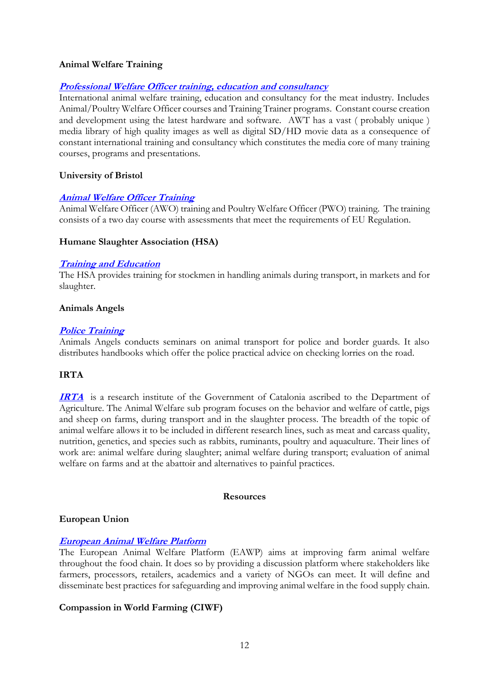#### **Animal Welfare Training**

#### **[Professional Welfare Officer training, education and consultancy](http://www.awtraining.com/AWT/Home.html)**

International animal welfare training, education and consultancy for the meat industry. Includes Animal/Poultry Welfare Officer courses and Training Trainer programs. Constant course creation and development using the latest hardware and software. AWT has a vast ( probably unique ) media library of high quality images as well as digital SD/HD movie data as a consequence of constant international training and consultancy which constitutes the media core of many training courses, programs and presentations.

#### **University of Bristol**

#### **[Animal Welfare Officer Training](http://www.bristol.ac.uk/vetscience/study/cpd/awo/)**

Animal Welfare Officer (AWO) training and Poultry Welfare Officer (PWO) training. The training consists of a two day course with assessments that meet the requirements of EU Regulation.

#### **Humane Slaughter Association (HSA)**

#### **[Training and Education](http://www.hsa.org.uk/Training.htm)**

The HSA provides training for stockmen in handling animals during transport, in markets and for slaughter.

#### **Animals Angels**

#### **[Police Training](http://www.animals-angels.com/projects/europe/long-distance-transports-eu/police-training.html)**

Animals Angels conducts seminars on animal transport for police and border guards. It also distributes handbooks which offer the police practical advice on checking lorries on the road.

### **IRTA**

**[IRTA](http://www.irta.cat/en-US/RIT/A/A2/Pages/A21.aspx)** is a research institute of the Government of Catalonia ascribed to the Department of Agriculture. The Animal Welfare sub program focuses on the behavior and welfare of cattle, pigs and sheep on farms, during transport and in the slaughter process. The breadth of the topic of animal welfare allows it to be included in different research lines, such as meat and carcass quality, nutrition, genetics, and species such as rabbits, ruminants, poultry and aquaculture. Their lines of work are: animal welfare during slaughter; animal welfare during transport; evaluation of animal welfare on farms and at the abattoir and alternatives to painful practices.

#### **Resources**

#### <span id="page-11-0"></span>**European Union**

### **[European Animal Welfare Platform](http://www.animalwelfareplatform.eu/)**

The European Animal Welfare Platform (EAWP) aims at improving farm animal welfare throughout the food chain. It does so by providing a discussion platform where stakeholders like farmers, processors, retailers, academics and a variety of NGOs can meet. It will define and disseminate best practices for safeguarding and improving animal welfare in the food supply chain.

### **Compassion in World Farming (CIWF)**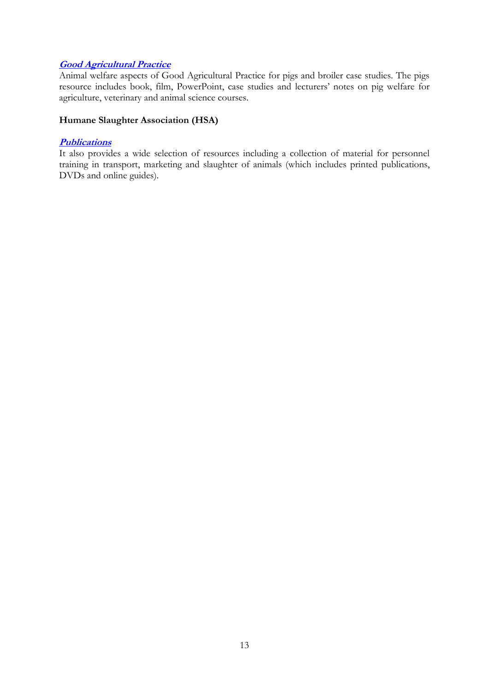# **[Good Agricultural Practice](http://www.ciwf.org.uk/education/good-agricultural-practice/)**

Animal welfare aspects of Good Agricultural Practice for pigs and broiler case studies. The pigs resource includes book, film, PowerPoint, case studies and lecturers' notes on pig welfare for agriculture, veterinary and animal science courses.

# **Humane Slaughter Association (HSA)**

#### **[Publications](http://www.hsa.org.uk/Publications.htm)**

It also provides a wide selection of resources including a collection of material for personnel training in transport, marketing and slaughter of animals (which includes printed publications, DVDs and online guides).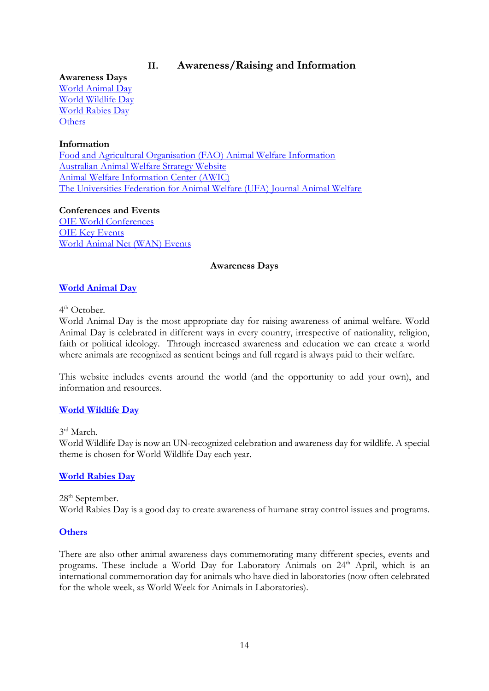# **II. Awareness/Raising and Information**

<span id="page-13-0"></span>**Awareness Days** [World Animal Day](#page-13-1) [World Wildlife Day](#page-13-2) [World Rabies Day](#page-13-3) **[Others](#page-13-4)** 

# **Information**

[Food and Agricultural Organisation \(FAO\) Animal Welfare Information](#page-14-0) [Australian Animal Welfare Strategy Website](#page-14-1) [Animal Welfare Information Center \(AWIC\)](#page-14-2) [The Universities Federation for Animal Welfare \(UFA\) Journal Animal Welfare](#page-14-3)

**Conferences and Events** [OIE World Conferences](#page-14-4) [OIE Key Events](#page-14-5) [World Animal Net \(WAN\) Events](#page-14-6)

### **Awareness Days**

# <span id="page-13-1"></span>**[World Animal Day](http://www.worldanimalday.org.uk/)**

#### 4<sup>th</sup> October.

World Animal Day is the most appropriate day for raising awareness of animal welfare. World Animal Day is celebrated in different ways in every country, irrespective of nationality, religion, faith or political ideology. Through increased awareness and education we can create a world where animals are recognized as sentient beings and full regard is always paid to their welfare.

This website includes events around the world (and the opportunity to add your own), and information and resources.

### <span id="page-13-2"></span>**[World Wildlife Day](http://www.wildlifeday.org/)**

3 rd March.

World Wildlife Day is now an UN-recognized celebration and awareness day for wildlife. A special theme is chosen for World Wildlife Day each year.

### <span id="page-13-3"></span>**[World Rabies Day](https://rabiesalliance.org/world-rabies-day/)**

28<sup>th</sup> September. World Rabies Day is a good day to create awareness of humane stray control issues and programs.

### <span id="page-13-4"></span>**[Others](http://www.holidays-and-observances.com/animal-holidays.html)**

There are also other animal awareness days commemorating many different species, events and programs. These include a World Day for Laboratory Animals on 24<sup>th</sup> April, which is an international commemoration day for animals who have died in laboratories (now often celebrated for the whole week, as World Week for Animals in Laboratories).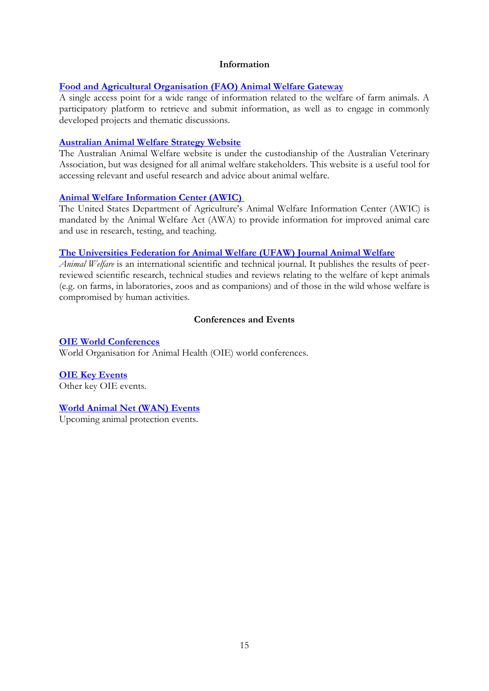#### **Information**

#### <span id="page-14-0"></span>**[Food and Agricultural Organisation \(FAO\) Animal Welfare Gateway](http://www.fao.org/ag/againfo/themes/animal-welfare/aw-awhome/en/?no_cache=1)**

A single access point for a wide range of information related to the welfare of farm animals. A participatory platform to retrieve and submit information, as well as to engage in commonly developed projects and thematic discussions.

#### <span id="page-14-1"></span>**[Australian Animal Welfare Strategy Website](http://www.australiananimalwelfare.com.au/)**

<span id="page-14-2"></span>The Australian Animal Welfare website is under the custodianship of the Australian Veterinary Association, but was designed for all animal welfare stakeholders. This website is a useful tool for accessing relevant and useful research and advice about animal welfare.

#### **[Animal Welfare Information Center \(AWIC\)](https://www.nal.usda.gov/awic)**

The United States Department of Agriculture's Animal Welfare Information Center (AWIC) is mandated by the Animal Welfare Act (AWA) to provide information for improved animal care and use in research, testing, and teaching.

#### <span id="page-14-3"></span>**The Universities [Federation for Animal Welfare \(UFAW\) Journal Animal Welfare](http://www.ufaw.org.uk/the-ufaw-journal/animal-welfare)**

*Animal Welfare* is an international scientific and technical journal. It publishes the results of peerreviewed scientific research, technical studies and reviews relating to the welfare of kept animals (e.g. on farms, in laboratories, zoos and as companions) and of those in the wild whose welfare is compromised by human activities.

### **Conferences and Events**

#### <span id="page-14-4"></span>**[OIE World Conferences](http://www.oie.int/en/conferences-events/all-oie-world-conferences/)**

World Organisation for Animal Health (OIE) world conferences.

<span id="page-14-5"></span>**[OIE Key Events](http://www.oie.int/en/conferences-events/other-oie-key-events/2016/)** Other key OIE events.

#### <span id="page-14-6"></span>**[World Animal Net \(WAN\) Events](http://worldanimal.net/events/upcoming-events)**

Upcoming animal protection events.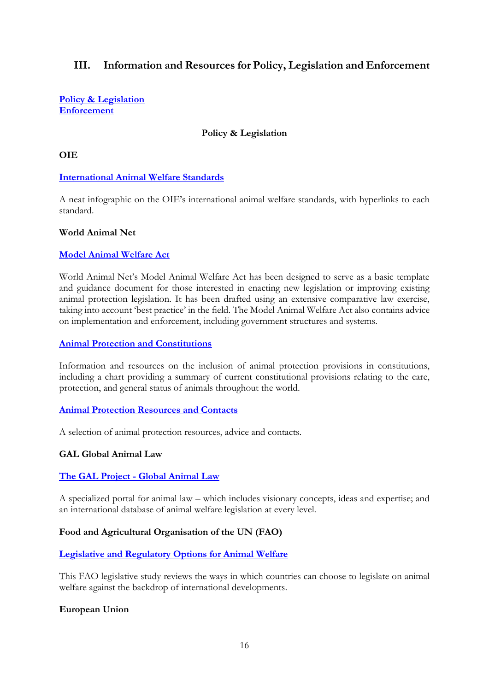# <span id="page-15-0"></span>**III. Information and Resources for Policy, Legislation and Enforcement**

<span id="page-15-1"></span>**[Policy & Legislation](#page-15-1) [Enforcement](#page-16-0)**

### **Policy & Legislation**

#### **OIE**

#### **[International Animal Welfare Standards](http://www.oie.int/infographic/StandardsAW/index.html)**

A neat infographic on the OIE's international animal welfare standards, with hyperlinks to each standard.

#### **World Animal Net**

#### **[Model Animal Welfare Act](http://worldanimal.net/our-programs/model-law-project)**

World Animal Net's Model Animal Welfare Act has been designed to serve as a basic template and guidance document for those interested in enacting new legislation or improving existing animal protection legislation. It has been drafted using an extensive comparative law exercise, taking into account 'best practice' in the field. The Model Animal Welfare Act also contains advice on implementation and enforcement, including government structures and systems.

#### **[Animal Protection and Constitutions](http://worldanimal.net/our-programs/constitution-project-resources)**

Information and resources on the inclusion of animal protection provisions in constitutions, including a chart providing a summary of current constitutional provisions relating to the care, protection, and general status of animals throughout the world.

#### **[Animal Protection Resources and Contacts](http://worldanimal.net/wan-resources/animal-protection-law-resources)**

A selection of animal protection resources, advice and contacts.

### **GAL Global Animal Law**

### **[The GAL Project -](https://www.globalanimallaw.org/) Global Animal Law**

A specialized portal for animal law – which includes visionary concepts, ideas and expertise; and an international database of animal welfare legislation at every level.

### **Food and Agricultural Organisation of the UN (FAO)**

### **[Legislative and Regulatory Options for Animal Welfare](http://www.fao.org/docrep/013/i1907e/i1907e01.pdf)**

This FAO legislative study reviews the ways in which countries can choose to legislate on animal welfare against the backdrop of international developments.

### **European Union**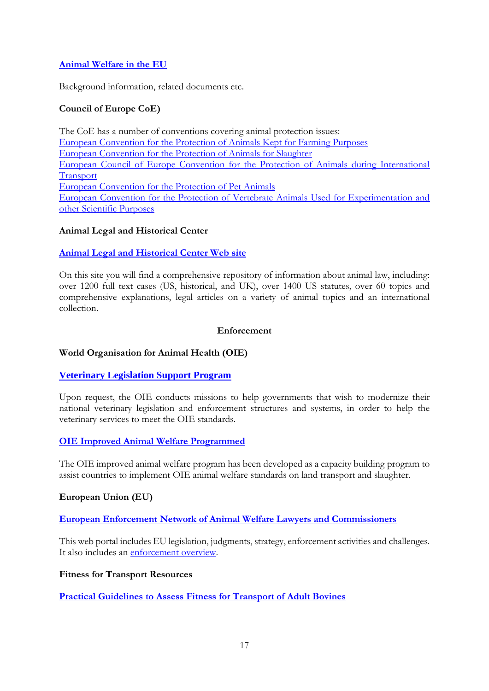# **[Animal Welfare in the EU](http://ec.europa.eu/food/animals/welfare/index_en.htm)**

Background information, related documents etc.

# **Council of Europe CoE)**

The CoE has a number of conventions covering animal protection issues: [European Convention for the Protection of Animals Kept for Farming Purposes](http://www.coe.int/fr/web/conventions/full-list/-/conventions/rms/0900001680076da6) [European Convention for the Protection of Animals for Slaughter](http://www.coe.int/fr/web/conventions/full-list/-/conventions/rms/0900001680077d98) [European Council of Europe Convention for the Protection of Animals during International](http://www.coe.int/fr/web/conventions/full-list/-/conventions/rms/0900001680083710)  [Transport](http://www.coe.int/fr/web/conventions/full-list/-/conventions/rms/0900001680083710) [European Convention for the Protection of Pet Animals](http://www.coe.int/en/web/conventions/full-list/-/conventions/treaty/125) [European Convention for the Protection of Vertebrate Animals Used for Experimentation and](http://www.coe.int/en/web/conventions/full-list/-/conventions/treaty/123)  [other Scientific Purposes](http://www.coe.int/en/web/conventions/full-list/-/conventions/treaty/123)

### **Animal Legal and Historical Center**

### **[Animal Legal and Historical Center Web site](https://www.animallaw.info/site/animal-legal-and-historical-center-web-site)**

On this site you will find a comprehensive repository of information about animal law, including: over 1200 full text cases (US, historical, and UK), over 1400 US statutes, over 60 topics and comprehensive explanations, legal articles on a variety of animal topics and an international collection.

#### **Enforcement**

### <span id="page-16-0"></span>**World Organisation for Animal Health (OIE)**

### **[Veterinary Legislation Support Program](http://www.oie.int/support-to-oie-members/veterinary-legislation/)**

Upon request, the OIE conducts missions to help governments that wish to modernize their national veterinary legislation and enforcement structures and systems, in order to help the veterinary services to meet the OIE standards.

### **[OIE Improved Animal Welfare Programmed](http://www.oie.int/animal-welfare/improved-animal-welfare-programme/)**

The OIE improved animal welfare program has been developed as a capacity building program to assist countries to implement OIE animal welfare standards on land transport and slaughter.

#### **European Union (EU)**

**[European Enforcement Network of Animal Welfare Lawyers and Commissioners](http://lawyersforanimalprotection.eu/)**

This web portal includes EU legislation, judgments, strategy, enforcement activities and challenges. It also includes an [enforcement overview.](http://lawyersforanimalprotection.eu/enforcement-status/)

#### **Fitness for Transport Resources**

**[Practical Guidelines to Assess Fitness for Transport of Adult Bovines](http://www.afsca.be/publications-en/_documents/2012-05-11_final_transport_guidelines_en.pdf)**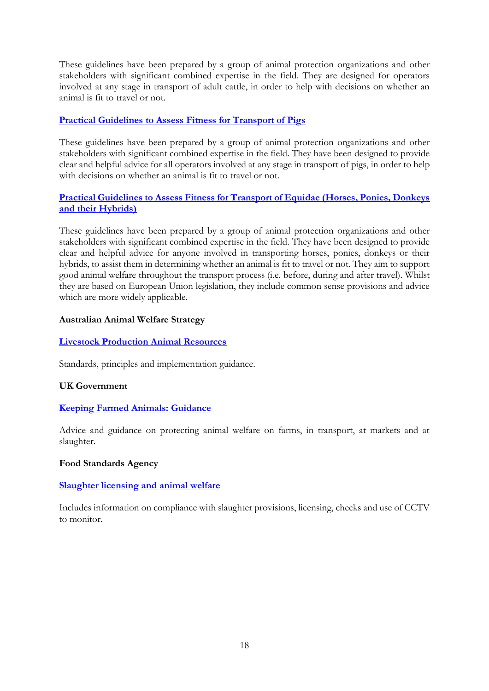These guidelines have been prepared by a group of animal protection organizations and other stakeholders with significant combined expertise in the field. They are designed for operators involved at any stage in transport of adult cattle, in order to help with decisions on whether an animal is fit to travel or not.

# **[Practical Guidelines to Assess Fitness for Transport of Pigs](http://www.npa-uk.org.uk/Members-library/2016_Final%20draft%20practical%20guidelines%20to%20assess%20fitness%20of%20transport%20of%20....pdf)**

These guidelines have been prepared by a group of animal protection organizations and other stakeholders with significant combined expertise in the field. They have been designed to provide clear and helpful advice for all operators involved at any stage in transport of pigs, in order to help with decisions on whether an animal is fit to travel or not.

# **[Practical Guidelines to Assess Fitness for Transport of Equidae \(Horses, Ponies, Donkeys](http://www.fise.it/images/Veterinaria/Practical_Guidelines_to_Assess_Fitness_for_Transport_of_Equidae_181215.pdf)  [and their Hybrids\)](http://www.fise.it/images/Veterinaria/Practical_Guidelines_to_Assess_Fitness_for_Transport_of_Equidae_181215.pdf)**

These guidelines have been prepared by a group of animal protection organizations and other stakeholders with significant combined expertise in the field. They have been designed to provide clear and helpful advice for anyone involved in transporting horses, ponies, donkeys or their hybrids, to assist them in determining whether an animal is fit to travel or not. They aim to support good animal welfare throughout the transport process (i.e. before, during and after travel). Whilst they are based on European Union legislation, they include common sense provisions and advice which are more widely applicable.

### **Australian Animal Welfare Strategy**

#### **[Livestock Production Animal Resources](http://www.australiananimalwelfare.com.au/content/livestock-and-production-animals/lpa-resources)**

Standards, principles and implementation guidance.

#### **UK Government**

### **[Keeping Farmed Animals: Guidance](https://www.gov.uk/guidance/animal-welfare)**

Advice and guidance on protecting animal welfare on farms, in transport, at markets and at slaughter.

#### **Food Standards Agency**

### **[Slaughter licensing and animal welfare](https://www.food.gov.uk/enforcement/approved-premises-official-controls/meatplantsprems/animal-welfare)**

Includes information on compliance with slaughter provisions, licensing, checks and use of CCTV to monitor.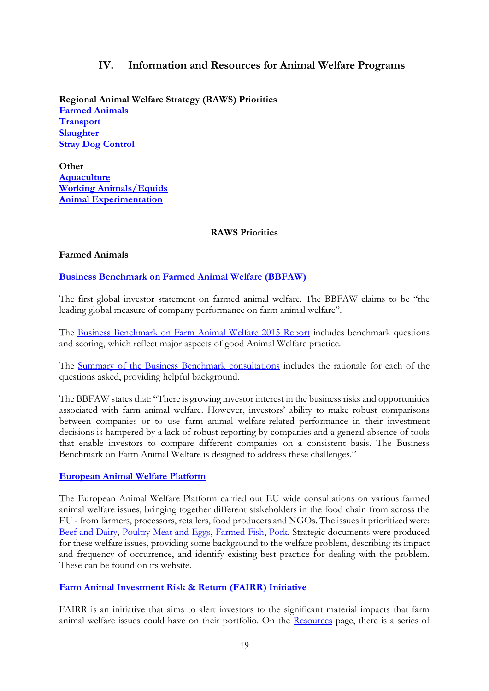# **IV. Information and Resources for Animal Welfare Programs**

<span id="page-18-0"></span>**Regional Animal Welfare Strategy (RAWS) Priorities [Farmed Animals](#page-18-1) [Transport](#page-21-0) [Slaughter](#page-22-0) [Stray Dog Control](#page-23-0)**

**Other [Aquaculture](#page-23-1) [Working Animals/Equids](#page-23-2) [Animal Experimentation](#page-24-0)**

### **RAWS Priorities**

# <span id="page-18-1"></span>**Farmed Animals**

# **[Business Benchmark on Farmed Animal Welfare \(BBFAW\)](http://www.bbfaw.com/)**

The first global investor statement on farmed animal welfare. The BBFAW claims to be "the leading global measure of company performance on farm animal welfare".

The [Business Benchmark on Farm Animal Welfare 2015](http://www.bbfaw.com/media/1338/bbfaw-2015-report.pdf) Report includes benchmark questions and scoring, which reflect major aspects of good Animal Welfare practice.

The [Summary of the Business Benchmark consultations](http://www.bbfaw.com/media/1319/summary-of-consultation-on-the-2015-benchmark.pdf) includes the rationale for each of the questions asked, providing helpful background.

The BBFAW states that: "There is growing investor interest in the business risks and opportunities associated with farm animal welfare. However, investors' ability to make robust comparisons between companies or to use farm animal welfare-related performance in their investment decisions is hampered by a lack of robust reporting by companies and a general absence of tools that enable investors to compare different companies on a consistent basis. The Business Benchmark on Farm Animal Welfare is designed to address these challenges."

### **[European Animal Welfare Platform](http://www.animalwelfareplatform.eu/)**

The European Animal Welfare Platform carried out EU wide consultations on various farmed animal welfare issues, bringing together different stakeholders in the food chain from across the EU - from farmers, processors, retailers, food producers and NGOs. The issues it prioritized were: [Beef and Dairy,](http://www.animalwelfareplatform.eu/Dairy.php) [Poultry Meat and Eggs,](http://www.animalwelfareplatform.eu/Poultry.php) [Farmed Fish,](http://www.animalwelfareplatform.eu/Fish.php) [Pork.](http://www.animalwelfareplatform.eu/Pork.php) Strategic documents were produced for these welfare issues, providing some background to the welfare problem, describing its impact and frequency of occurrence, and identify existing best practice for dealing with the problem. These can be found on its website.

### **[Farm Animal Investment Risk & Return \(FAIRR\) Initiative](http://www.fairr.org/)**

FAIRR is an initiative that aims to alert investors to the significant material impacts that farm animal welfare issues could have on their portfolio. On the [Resources](http://www.fairr.org/resources/) page, there is a series of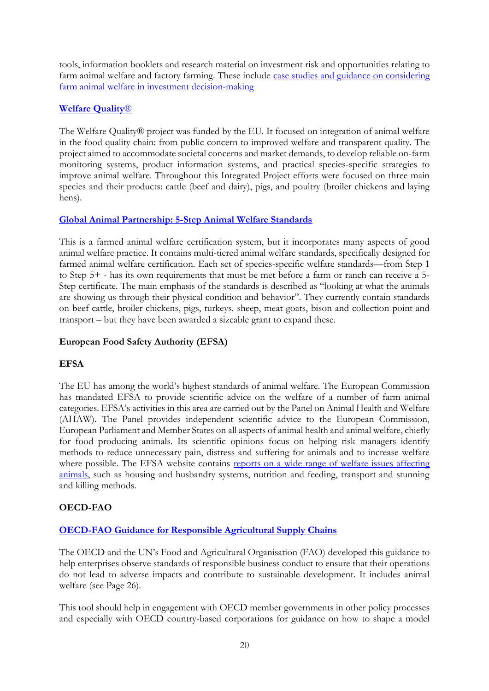tools, information booklets and research material on investment risk and opportunities relating to farm animal welfare and factory farming. These include case studies and guidance on considering [farm animal welfare in investment decision-making](http://fairr.bladedev.co.uk/wp-content/uploads/FAIRR-Case-Studies-and-Guidance-June-2015.pdf)

# **[Welfare Quality](http://www.welfarequality.net/everyone/26536/5/0/22)**®

The Welfare Quality® project was funded by the EU. It focused on integration of animal welfare in the food quality chain: from public concern to improved welfare and transparent quality. The project aimed to accommodate societal concerns and market demands, to develop reliable on-farm monitoring systems, product information systems, and practical species-specific strategies to improve animal welfare. Throughout this Integrated Project efforts were focused on three main species and their products: cattle (beef and dairy), pigs, and poultry (broiler chickens and laying hens).

# **[Global Animal Partnership: 5-Step Animal Welfare Standards](http://www.globalanimalpartnership.org/5-step-animal-welfare-rating-program/standards)**

This is a farmed animal welfare certification system, but it incorporates many aspects of good animal welfare practice. It contains multi-tiered animal welfare standards, specifically designed for farmed animal welfare certification. Each set of species-specific welfare standards—from Step 1 to Step 5+ - has its own requirements that must be met before a farm or ranch can receive a 5- Step certificate. The main emphasis of the standards is described as "looking at what the animals are showing us through their physical condition and behavior". They currently contain standards on beef cattle, broiler chickens, pigs, turkeys. sheep, meat goats, bison and collection point and transport – but they have been awarded a sizeable grant to expand these.

# **European Food Safety Authority (EFSA)**

# **EFSA**

The EU has among the world's highest standards of animal welfare. The European Commission has mandated EFSA to provide scientific advice on the welfare of a number of farm animal categories. EFSA's activities in this area are carried out by the Panel on Animal Health and Welfare (AHAW). The Panel provides independent scientific advice to the European Commission, European Parliament and Member States on all aspects of animal health and animal welfare, chiefly for food producing animals. Its scientific opinions focus on helping risk managers identify methods to reduce unnecessary pain, distress and suffering for animals and to increase welfare where possible. The EFSA website contains reports on a wide range of welfare issues affecting [animals,](http://www.efsa.europa.eu/en/topics/topic/animalwelfare) such as housing and husbandry systems, nutrition and feeding, transport and stunning and killing methods.

# **OECD-FAO**

# **[OECD-FAO Guidance for Responsible Agricultural Supply Chains](http://mneguidelines.oecd.org/OECD-FAO-Guidance.pdf)**

The OECD and the UN's Food and Agricultural Organisation (FAO) developed this guidance to help enterprises observe standards of responsible business conduct to ensure that their operations do not lead to adverse impacts and contribute to sustainable development. It includes animal welfare (see Page 26).

This tool should help in engagement with OECD member governments in other policy processes and especially with OECD country-based corporations for guidance on how to shape a model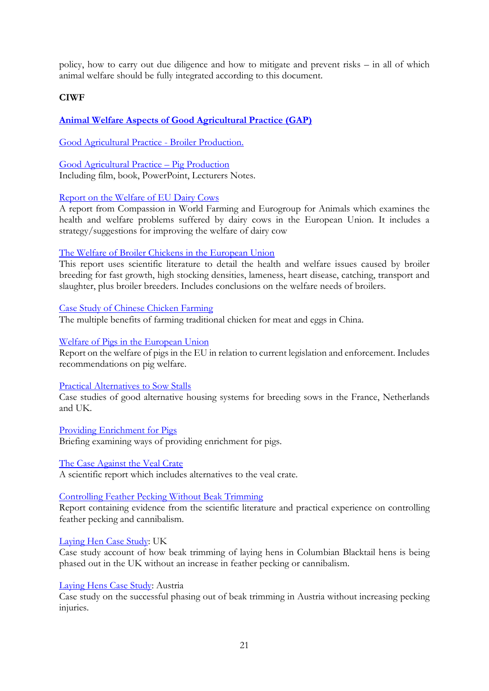policy, how to carry out due diligence and how to mitigate and prevent risks – in all of which animal welfare should be fully integrated according to this document.

### **CIWF**

# **[Animal Welfare Aspects of Good Agricultural Practice \(GAP\)](http://www.ciwf.org.uk/education/good-agricultural-practice/)**

[Good Agricultural Practice -](http://www.ciwf.org.uk/education/good-agricultural-practice/good-agricultural-practice-broiler-production/) Broiler Production.

[Good Agricultural Practice](http://www.ciwf.org.uk/education/good-agricultural-practice/good-agricultural-practice-pig-production/) – Pig Production Including film, book, PowerPoint, Lecturers Notes.

#### [Report on the Welfare of EU Dairy Cows](http://www.ciwf.org.uk/research/species-cattle/report-on-welfare-of-eu-dairy-cows/)

A report from Compassion in World Farming and Eurogroup for Animals which examines the health and welfare problems suffered by dairy cows in the European Union. It includes a strategy/suggestions for improving the welfare of dairy cow

#### [The Welfare of Broiler Chickens in the European Union](http://www.ciwf.org.uk/research/species-meat-chickens/the-welfare-of-broiler-chickens-in-the-european-union/)

This report uses scientific literature to detail the health and welfare issues caused by broiler breeding for fast growth, high stocking densities, lameness, heart disease, catching, transport and slaughter, plus broiler breeders. Includes conclusions on the welfare needs of broilers.

#### [Case Study of Chinese Chicken Farming](http://www.ciwf.org.uk/research/species-meat-chickens/case-study-chickens-in-china/)

The multiple benefits of farming traditional chicken for meat and eggs in China.

#### [Welfare of Pigs in the European Union](http://www.ciwf.org.uk/research/species-pigs/welfare-of-pigs-in-the-european-union/)

Report on the welfare of pigs in the EU in relation to current legislation and enforcement. Includes recommendations on pig welfare.

#### [Practical Alternatives to Sow Stalls](http://www.ciwf.org.uk/research/species-pigs/practical-alternatives-to-sow-stalls-in-eu/)

Case studies of good alternative housing systems for breeding sows in the France, Netherlands and UK.

[Providing Enrichment for Pigs](http://www.ciwf.org.uk/media/3818880/providing-enrichment-for-pigs.pdf) Briefing examining ways of providing enrichment for pigs.

# [The Case Against the Veal Crate](http://www.ciwf.org.uk/research/species-cattle/the-case-against-the-veal-crate/)

A scientific report which includes alternatives to the veal crate.

#### [Controlling Feather Pecking Without Beak Trimming](http://www.ciwf.org.uk/research/species-laying-hens/controlling-feather-pecking-and-cannibalism-without-beak-trimming/)

Report containing evidence from the scientific literature and practical experience on controlling feather pecking and cannibalism.

#### [Laying Hen Case Study:](http://www.ciwf.org.uk/research/species-laying-hens/laying-hens-case-study-united-kingdom/) UK

Case study account of how beak trimming of laying hens in Columbian Blacktail hens is being phased out in the UK without an increase in feather pecking or cannibalism.

#### [Laying Hens Case Study:](http://www.ciwf.org.uk/research/species-laying-hens/laying-hens-case-study-austria/) Austria

Case study on the successful phasing out of beak trimming in Austria without increasing pecking injuries.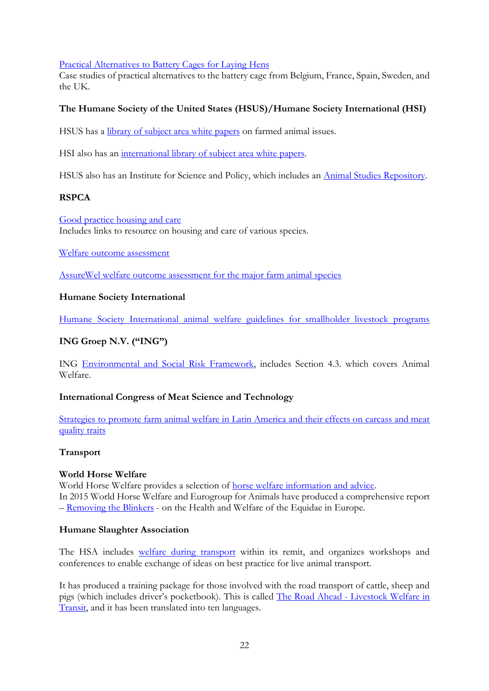[Practical Alternatives to Battery Cages for Laying Hens](http://www.ciwf.org.uk/research/species-laying-hens/practical-alternatives-to-battery-cages-for-laying-hens/)

Case studies of practical alternatives to the battery cage from Belgium, France, Spain, Sweden, and the UK.

# **The Humane Society of the United States (HSUS)/Humane Society International (HSI)**

HSUS has a [library of subject area white papers](http://www.humanesociety.org/news/publications/whitepapers/farm_animal_welfare.html) on farmed animal issues.

HSI also has an [international library of subject area white papers.](http://www.hsi.org/issues/farm_animal_confinement/research/farm_animal_welfare_research.html)

HSUS also has an Institute for Science and Policy, which includes an [Animal Studies Repository.](http://animalstudiesrepository.org/?credit=web_hsisp_resources)

# **RSPCA**

[Good practice housing and care](http://science.rspca.org.uk/sciencegroup/researchanimals/ethicalreview/functionstasks/housingandcare) Includes links to resource on housing and care of various species.

[Welfare outcome assessment](https://science.rspca.org.uk/sciencegroup/farmanimals/outcomeassessment)

[AssureWel welfare outcome assessment for the major farm animal species](http://www.assurewel.org/)

# **Humane Society International**

[Humane Society International animal welfare guidelines for smallholder livestock programs](http://www.hsi.org/assets/pdfs/animal-welfare-guidelines-smallholder-livestock.pdf)

# **ING Groep N.V. ("ING")**

ING [Environmental and Social Risk Framework,](http://www.ing.com/web/file?uuid=83303846-ca81-4db9-9570-e22b4e4302a6&owner=b03bc017-e0db-4b5d-abbf-003b12934429&contentid=36269) includes Section 4.3. which covers Animal Welfare.

### **International Congress of Meat Science and Technology**

[Strategies to promote farm animal welfare in Latin America and their effects on carcass and meat](http://ainfo.cnptia.embrapa.br/digital/bitstream/item/67248/1/strategies-to-promote-farm-animal-welfare-in-latin-america.pdf)  [quality traits](http://ainfo.cnptia.embrapa.br/digital/bitstream/item/67248/1/strategies-to-promote-farm-animal-welfare-in-latin-america.pdf)

### <span id="page-21-0"></span>**Transport**

### **World Horse Welfare**

World Horse Welfare provides a selection of [horse welfare information and advice.](http://www.worldhorsewelfare.org/Information-and-Advice) In 2015 World Horse Welfare and Eurogroup for Animals have produced a comprehensive report – [Removing the Blinkers](http://www.worldhorsewelfare.org/Removing-the-Blinkers) - on the Health and Welfare of the Equidae in Europe.

### **Humane Slaughter Association**

The HSA includes [welfare during transport](http://www.hsa.org.uk/welfare-during-transport/welfare-during-transport) within its remit, and organizes workshops and conferences to enable exchange of ideas on best practice for live animal transport.

It has produced a training package for those involved with the road transport of cattle, sheep and pigs (which includes driver's pocketbook). This is called The Road Ahead - [Livestock Welfare in](http://www.hsa.org.uk/shop/publications-1/product/the-road-ahead-livestock-welfare-in-transit)  [Transit,](http://www.hsa.org.uk/shop/publications-1/product/the-road-ahead-livestock-welfare-in-transit) and it has been translated into ten languages.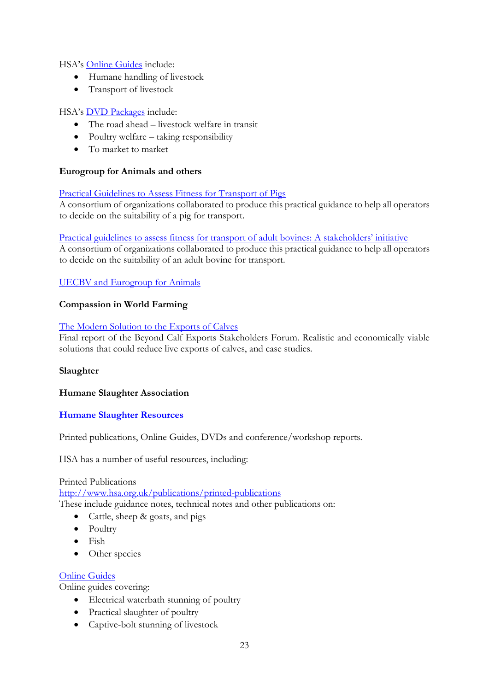HSA's [Online Guides](http://www.hsa.org.uk/publications/online-guides) include:

- Humane handling of livestock
- Transport of livestock

# HSA's [DVD Packages](http://www.hsa.org.uk/publications/dvd-packages) include:

- The road ahead livestock welfare in transit
- Poultry welfare taking responsibility
- To market to market

### **Eurogroup for Animals and others**

### [Practical Guidelines to Assess Fitness for Transport of Pigs](http://www.guitrans.eus/documentos/Directricesttecerdos.pdf)

A consortium of organizations collaborated to produce this practical guidance to help all operators to decide on the suitability of a pig for transport.

#### [Practical guidelines to assess fitness for transport of adult bovines: A stakeholders' initiative](http://www.fao.org/ag/againfo/themes/animal-welfare/aw-awhome/detail/fr/item/82384/icode/)

A consortium of organizations collaborated to produce this practical guidance to help all operators to decide on the suitability of an adult bovine for transport.

# [UECBV and Eurogroup for Animals](mailto:Daniela.Battaglia@fao.org)

# **Compassion in World Farming**

### [The Modern Solution to the Exports of Calves](http://www.ciwf.org.uk/research/species-cattle/calf-forum-report/)

Final report of the Beyond Calf Exports Stakeholders Forum. Realistic and economically viable solutions that could reduce live exports of calves, and case studies.

### <span id="page-22-0"></span>**Slaughter**

### **Humane Slaughter Association**

### **[Humane Slaughter Resources](http://www.hsa.org.uk/publications/publications)**

Printed publications, Online Guides, DVDs and conference/workshop reports.

HSA has a number of useful resources, including:

#### Printed Publications

<http://www.hsa.org.uk/publications/printed-publications> These include guidance notes, technical notes and other publications on:

- Cattle, sheep & goats, and pigs
- Poultry
- Fish
- Other species

### [Online Guides](http://www.hsa.org.uk/publications/online-guides)

Online guides covering:

- Electrical waterbath stunning of poultry
- Practical slaughter of poultry
- Captive-bolt stunning of livestock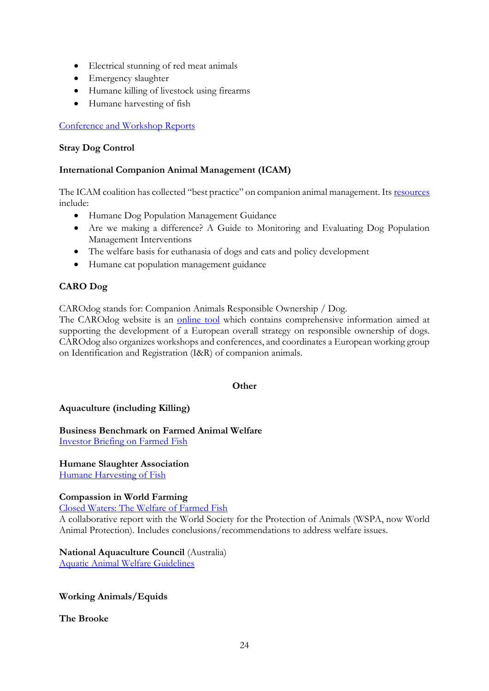- Electrical stunning of red meat animals
- Emergency slaughter
- Humane killing of livestock using firearms
- Humane harvesting of fish

### [Conference and Workshop Reports](http://www.hsa.org.uk/publications/conference--workshop-reports)

#### <span id="page-23-0"></span>**Stray Dog Control**

### **International Companion Animal Management (ICAM)**

The ICAM coalition has collected "best practice" on companion animal management. Its [resources](http://www.icam-coalition.org/) include:

- Humane Dog Population Management Guidance
- Are we making a difference? A Guide to Monitoring and Evaluating Dog Population Management Interventions
- The welfare basis for euthanasia of dogs and cats and policy development
- Humane cat population management guidance

# **CARO Dog**

CAROdog stands for: Companion Animals Responsible Ownership / Dog.

The CAROdog website is an [online tool](http://www.carodog.eu/) which contains comprehensive information aimed at supporting the development of a European overall strategy on responsible ownership of dogs. CAROdog also organizes workshops and conferences, and coordinates a European working group on Identification and Registration (I&R) of companion animals.

#### **Other**

### <span id="page-23-1"></span>**Aquaculture (including Killing)**

**Business Benchmark on Farmed Animal Welfare** [Investor Briefing on Farmed Fish](http://www.bbfaw.com/media/1432/investor-briefing-no-23-animal-welfare-in-farmed-fish.pdf)

# **Humane Slaughter Association**

[Humane Harvesting of Fish](http://www.hsa.org.uk/humane-harvesting-of-fish-introduction/introduction-6)

### **Compassion in World Farming**

[Closed Waters: The Welfare of Farmed Fish](http://www.ciwf.org.uk/research/species-fish/closed-waters-the-welfare-of-farmed-fish/)

A collaborative report with the World Society for the Protection of Animals (WSPA, now World Animal Protection). Includes conclusions/recommendations to address welfare issues.

# **National Aquaculture Council** (Australia)

[Aquatic Animal Welfare Guidelines](http://www.australiananimalwelfare.com.au/content/aquatic-animals/aquatic-animal-welfare-guidelines)

### <span id="page-23-2"></span>**Working Animals/Equids**

**The Brooke**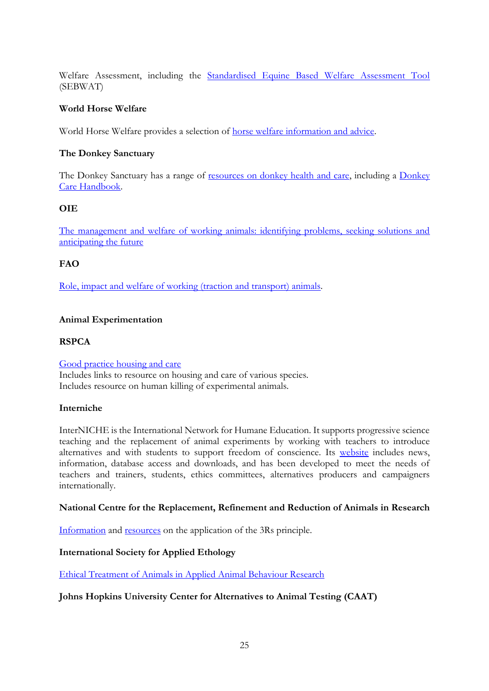Welfare Assessment, including the [Standardised Equine Based Welfare Assessment Tool](https://www.thebrooke.org/for-professionals/our-approach-welfare-assessment) (SEBWAT)

### **World Horse Welfare**

World Horse Welfare provides a selection of [horse welfare information and advice.](http://www.worldhorsewelfare.org/Information-and-Advice)

# **The Donkey Sanctuary**

The Donkey Sanctuary has a range of [resources on donkey health and care,](https://www.thedonkeysanctuary.org.uk/health-and-care) including a [Donkey](https://www.thedonkeysanctuary.org.uk/donkey-care-handbook)  [Care Handbook.](https://www.thedonkeysanctuary.org.uk/donkey-care-handbook)

# **OIE**

[The management and welfare of working animals: identifying problems, seeking solutions and](http://www.oie.int/doc/ged/D13667.PDF)  [anticipating the future](http://www.oie.int/doc/ged/D13667.PDF)

# **FAO**

[Role, impact and welfare of working \(traction and transport\) animals.](http://www.fao.org/3/a-i3381e.pdf)

# <span id="page-24-0"></span>**Animal Experimentation**

### **RSPCA**

[Good practice housing and care](http://science.rspca.org.uk/sciencegroup/researchanimals/ethicalreview/functionstasks/housingandcare) Includes links to resource on housing and care of various species. Includes resource on human killing of experimental animals.

### **Interniche**

InterNICHE is the International Network for Humane Education. It supports progressive science teaching and the replacement of animal experiments by working with teachers to introduce alternatives and with students to support freedom of conscience. Its [website](http://www.interniche.org/) includes news, information, database access and downloads, and has been developed to meet the needs of teachers and trainers, students, ethics committees, alternatives producers and campaigners internationally.

### **National Centre for the Replacement, Refinement and Reduction of Animals in Research**

[Information](https://www.nc3rs.org.uk/the-3rs) and [resources](https://www.nc3rs.org.uk/our-resources) on the application of the 3Rs principle.

### **International Society for Applied Ethology**

[Ethical Treatment of Animals in Applied Animal Behaviour Research](http://www.applied-ethology.org/ethical_guidelines.html)

### **Johns Hopkins University Center for Alternatives to Animal Testing (CAAT)**